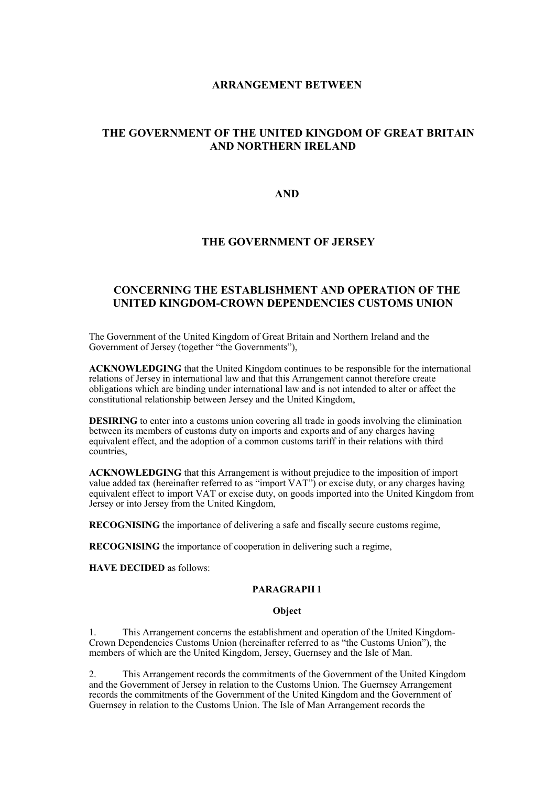# **ARRANGEMENT BETWEEN**

# **THE GOVERNMENT OF THE UNITED KINGDOM OF GREAT BRITAIN AND NORTHERN IRELAND**

# **AND**

# **THE GOVERNMENT OF JERSEY**

# **CONCERNING THE ESTABLISHMENT AND OPERATION OF THE UNITED KINGDOM-CROWN DEPENDENCIES CUSTOMS UNION**

The Government of the United Kingdom of Great Britain and Northern Ireland and the Government of Jersey (together "the Governments"),

**ACKNOWLEDGING** that the United Kingdom continues to be responsible for the international relations of Jersey in international law and that this Arrangement cannot therefore create obligations which are binding under international law and is not intended to alter or affect the constitutional relationship between Jersey and the United Kingdom,

**DESIRING** to enter into a customs union covering all trade in goods involving the elimination between its members of customs duty on imports and exports and of any charges having equivalent effect, and the adoption of a common customs tariff in their relations with third countries,

**ACKNOWLEDGING** that this Arrangement is without prejudice to the imposition of import value added tax (hereinafter referred to as "import VAT") or excise duty, or any charges having equivalent effect to import VAT or excise duty, on goods imported into the United Kingdom from Jersey or into Jersey from the United Kingdom,

**RECOGNISING** the importance of delivering a safe and fiscally secure customs regime,

**RECOGNISING** the importance of cooperation in delivering such a regime,

**HAVE DECIDED** as follows:

# **PARAGRAPH 1**

#### **Object**

1. This Arrangement concerns the establishment and operation of the United Kingdom-Crown Dependencies Customs Union (hereinafter referred to as "the Customs Union"), the members of which are the United Kingdom, Jersey, Guernsey and the Isle of Man.

2. This Arrangement records the commitments of the Government of the United Kingdom and the Government of Jersey in relation to the Customs Union. The Guernsey Arrangement records the commitments of the Government of the United Kingdom and the Government of Guernsey in relation to the Customs Union. The Isle of Man Arrangement records the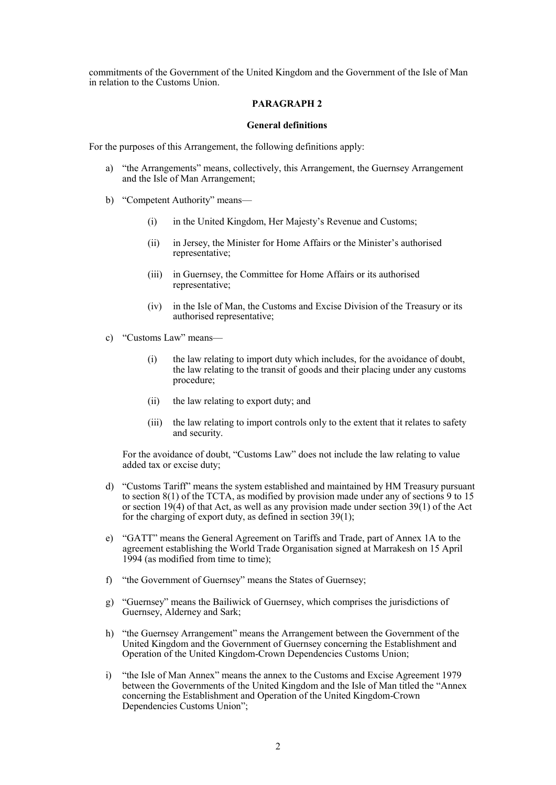commitments of the Government of the United Kingdom and the Government of the Isle of Man in relation to the Customs Union.

# **PARAGRAPH 2**

#### **General definitions**

For the purposes of this Arrangement, the following definitions apply:

- a) "the Arrangements" means, collectively, this Arrangement, the Guernsey Arrangement and the Isle of Man Arrangement;
- b) "Competent Authority" means—
	- (i) in the United Kingdom, Her Majesty's Revenue and Customs;
	- (ii) in Jersey, the Minister for Home Affairs or the Minister's authorised representative;
	- (iii) in Guernsey, the Committee for Home Affairs or its authorised representative;
	- (iv) in the Isle of Man, the Customs and Excise Division of the Treasury or its authorised representative;
- c) "Customs Law" means—
	- (i) the law relating to import duty which includes, for the avoidance of doubt, the law relating to the transit of goods and their placing under any customs procedure;
	- (ii) the law relating to export duty; and
	- (iii) the law relating to import controls only to the extent that it relates to safety and security.

For the avoidance of doubt, "Customs Law" does not include the law relating to value added tax or excise duty;

- d) "Customs Tariff" means the system established and maintained by HM Treasury pursuant to section 8(1) of the TCTA, as modified by provision made under any of sections 9 to 15 or section  $19(4)$  of that Act, as well as any provision made under section 39(1) of the Act for the charging of export duty, as defined in section 39(1);
- e) "GATT" means the General Agreement on Tariffs and Trade, part of Annex 1A to the agreement establishing the World Trade Organisation signed at Marrakesh on 15 April 1994 (as modified from time to time);
- f) "the Government of Guernsey" means the States of Guernsey;
- g) "Guernsey" means the Bailiwick of Guernsey, which comprises the jurisdictions of Guernsey, Alderney and Sark;
- h) "the Guernsey Arrangement" means the Arrangement between the Government of the United Kingdom and the Government of Guernsey concerning the Establishment and Operation of the United Kingdom-Crown Dependencies Customs Union;
- i) "the Isle of Man Annex" means the annex to the Customs and Excise Agreement 1979 between the Governments of the United Kingdom and the Isle of Man titled the "Annex concerning the Establishment and Operation of the United Kingdom-Crown Dependencies Customs Union";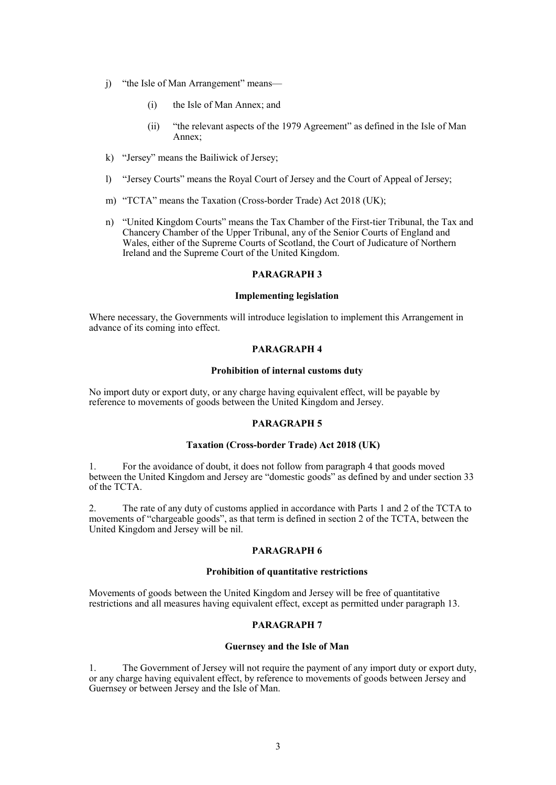- j) "the Isle of Man Arrangement" means—
	- (i) the Isle of Man Annex; and
	- (ii) "the relevant aspects of the 1979 Agreement" as defined in the Isle of Man Annex;
- k) "Jersey" means the Bailiwick of Jersey;
- l) "Jersey Courts" means the Royal Court of Jersey and the Court of Appeal of Jersey;
- m) "TCTA" means the Taxation (Cross-border Trade) Act 2018 (UK);
- n) "United Kingdom Courts" means the Tax Chamber of the First-tier Tribunal, the Tax and Chancery Chamber of the Upper Tribunal, any of the Senior Courts of England and Wales, either of the Supreme Courts of Scotland, the Court of Judicature of Northern Ireland and the Supreme Court of the United Kingdom.

### **Implementing legislation**

Where necessary, the Governments will introduce legislation to implement this Arrangement in advance of its coming into effect.

### **PARAGRAPH 4**

#### **Prohibition of internal customs duty**

No import duty or export duty, or any charge having equivalent effect, will be payable by reference to movements of goods between the United Kingdom and Jersey.

### **PARAGRAPH 5**

### **Taxation (Cross-border Trade) Act 2018 (UK)**

1. For the avoidance of doubt, it does not follow from paragraph 4 that goods moved between the United Kingdom and Jersey are "domestic goods" as defined by and under section 33 of the TCTA.

2. The rate of any duty of customs applied in accordance with Parts 1 and 2 of the TCTA to movements of "chargeable goods", as that term is defined in section 2 of the TCTA, between the United Kingdom and Jersey will be nil.

### **PARAGRAPH 6**

### **Prohibition of quantitative restrictions**

Movements of goods between the United Kingdom and Jersey will be free of quantitative restrictions and all measures having equivalent effect, except as permitted under paragraph 13.

## **PARAGRAPH 7**

### **Guernsey and the Isle of Man**

1. The Government of Jersey will not require the payment of any import duty or export duty, or any charge having equivalent effect, by reference to movements of goods between Jersey and Guernsey or between Jersey and the Isle of Man.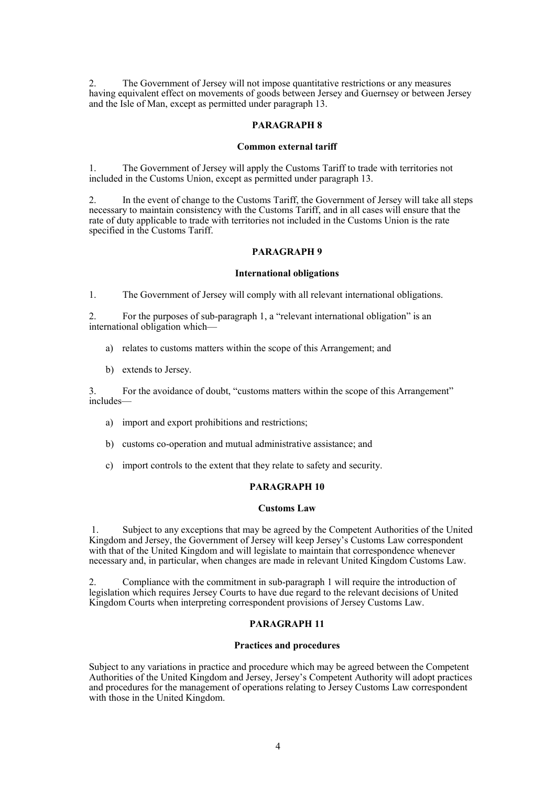2. The Government of Jersey will not impose quantitative restrictions or any measures having equivalent effect on movements of goods between Jersey and Guernsey or between Jersey and the Isle of Man, except as permitted under paragraph 13.

## **PARAGRAPH 8**

#### **Common external tariff**

1. The Government of Jersey will apply the Customs Tariff to trade with territories not included in the Customs Union, except as permitted under paragraph 13.

2. In the event of change to the Customs Tariff, the Government of Jersey will take all steps necessary to maintain consistency with the Customs Tariff, and in all cases will ensure that the rate of duty applicable to trade with territories not included in the Customs Union is the rate specified in the Customs Tariff.

## **PARAGRAPH 9**

#### **International obligations**

1. The Government of Jersey will comply with all relevant international obligations.

2. For the purposes of sub-paragraph 1, a "relevant international obligation" is an international obligation which—

- a) relates to customs matters within the scope of this Arrangement; and
- b) extends to Jersey.

3. For the avoidance of doubt, "customs matters within the scope of this Arrangement" includes—

- a) import and export prohibitions and restrictions;
- b) customs co-operation and mutual administrative assistance; and
- c) import controls to the extent that they relate to safety and security.

#### **PARAGRAPH 10**

#### **Customs Law**

1. Subject to any exceptions that may be agreed by the Competent Authorities of the United Kingdom and Jersey, the Government of Jersey will keep Jersey's Customs Law correspondent with that of the United Kingdom and will legislate to maintain that correspondence whenever necessary and, in particular, when changes are made in relevant United Kingdom Customs Law.

2. Compliance with the commitment in sub-paragraph 1 will require the introduction of legislation which requires Jersey Courts to have due regard to the relevant decisions of United Kingdom Courts when interpreting correspondent provisions of Jersey Customs Law.

## **PARAGRAPH 11**

#### **Practices and procedures**

Subject to any variations in practice and procedure which may be agreed between the Competent Authorities of the United Kingdom and Jersey, Jersey's Competent Authority will adopt practices and procedures for the management of operations relating to Jersey Customs Law correspondent with those in the United Kingdom.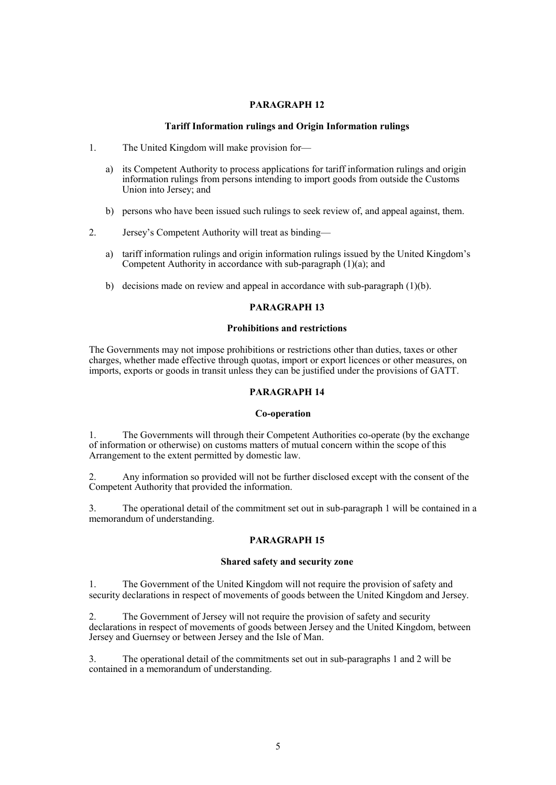## **Tariff Information rulings and Origin Information rulings**

- 1. The United Kingdom will make provision for
	- a) its Competent Authority to process applications for tariff information rulings and origin information rulings from persons intending to import goods from outside the Customs Union into Jersey; and
	- b) persons who have been issued such rulings to seek review of, and appeal against, them.
- 2. Jersey's Competent Authority will treat as binding
	- a) tariff information rulings and origin information rulings issued by the United Kingdom's Competent Authority in accordance with sub-paragraph (1)(a); and
	- b) decisions made on review and appeal in accordance with sub-paragraph  $(1)(b)$ .

## **PARAGRAPH 13**

#### **Prohibitions and restrictions**

The Governments may not impose prohibitions or restrictions other than duties, taxes or other charges, whether made effective through quotas, import or export licences or other measures, on imports, exports or goods in transit unless they can be justified under the provisions of GATT.

## **PARAGRAPH 14**

### **Co-operation**

1. The Governments will through their Competent Authorities co-operate (by the exchange of information or otherwise) on customs matters of mutual concern within the scope of this Arrangement to the extent permitted by domestic law.

2. Any information so provided will not be further disclosed except with the consent of the Competent Authority that provided the information.

3. The operational detail of the commitment set out in sub-paragraph 1 will be contained in a memorandum of understanding.

# **PARAGRAPH 15**

#### **Shared safety and security zone**

1. The Government of the United Kingdom will not require the provision of safety and security declarations in respect of movements of goods between the United Kingdom and Jersey.

2. The Government of Jersey will not require the provision of safety and security declarations in respect of movements of goods between Jersey and the United Kingdom, between Jersey and Guernsey or between Jersey and the Isle of Man.

3. The operational detail of the commitments set out in sub-paragraphs 1 and 2 will be contained in a memorandum of understanding.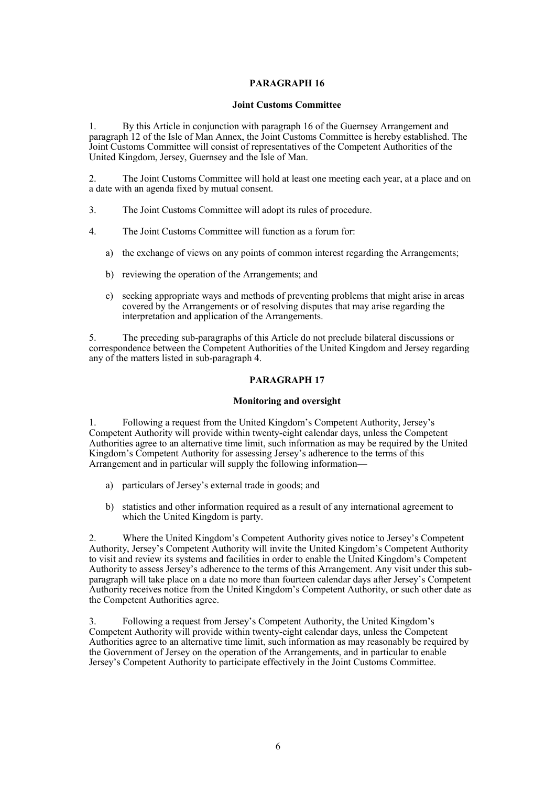## **Joint Customs Committee**

1. By this Article in conjunction with paragraph 16 of the Guernsey Arrangement and paragraph 12 of the Isle of Man Annex, the Joint Customs Committee is hereby established. The Joint Customs Committee will consist of representatives of the Competent Authorities of the United Kingdom, Jersey, Guernsey and the Isle of Man.

2. The Joint Customs Committee will hold at least one meeting each year, at a place and on a date with an agenda fixed by mutual consent.

- 3. The Joint Customs Committee will adopt its rules of procedure.
- 4. The Joint Customs Committee will function as a forum for:
	- a) the exchange of views on any points of common interest regarding the Arrangements;
	- b) reviewing the operation of the Arrangements; and
	- c) seeking appropriate ways and methods of preventing problems that might arise in areas covered by the Arrangements or of resolving disputes that may arise regarding the interpretation and application of the Arrangements.

5. The preceding sub-paragraphs of this Article do not preclude bilateral discussions or correspondence between the Competent Authorities of the United Kingdom and Jersey regarding any of the matters listed in sub-paragraph 4.

# **PARAGRAPH 17**

# **Monitoring and oversight**

1. Following a request from the United Kingdom's Competent Authority, Jersey's Competent Authority will provide within twenty-eight calendar days, unless the Competent Authorities agree to an alternative time limit, such information as may be required by the United Kingdom's Competent Authority for assessing Jersey's adherence to the terms of this Arrangement and in particular will supply the following information—

- a) particulars of Jersey's external trade in goods; and
- b) statistics and other information required as a result of any international agreement to which the United Kingdom is party.

2. Where the United Kingdom's Competent Authority gives notice to Jersey's Competent Authority, Jersey's Competent Authority will invite the United Kingdom's Competent Authority to visit and review its systems and facilities in order to enable the United Kingdom's Competent Authority to assess Jersey's adherence to the terms of this Arrangement. Any visit under this subparagraph will take place on a date no more than fourteen calendar days after Jersey's Competent Authority receives notice from the United Kingdom's Competent Authority, or such other date as the Competent Authorities agree.

3. Following a request from Jersey's Competent Authority, the United Kingdom's Competent Authority will provide within twenty-eight calendar days, unless the Competent Authorities agree to an alternative time limit, such information as may reasonably be required by the Government of Jersey on the operation of the Arrangements, and in particular to enable Jersey's Competent Authority to participate effectively in the Joint Customs Committee.